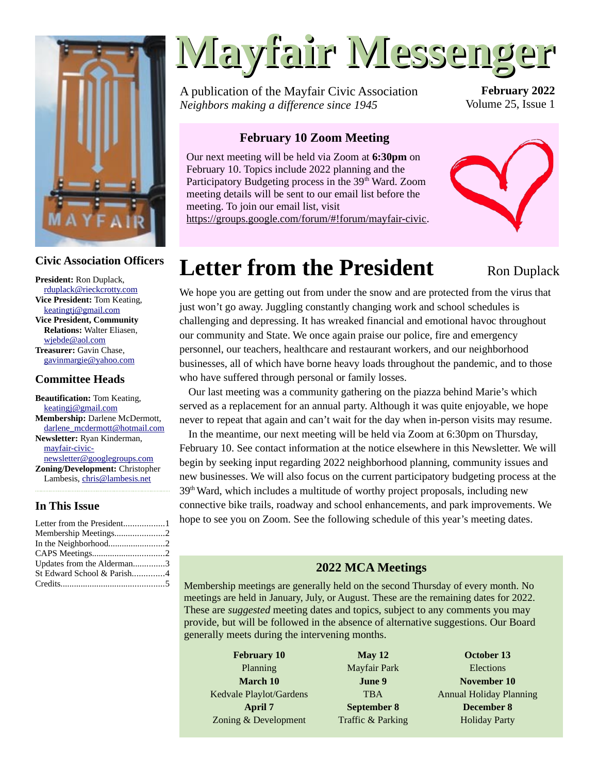

#### **Civic Association Officers**

**President:** Ron Duplack, [rduplack@rieckcrotty.com](mailto:rduplack@rieckcrotty.com) **Vice President:** Tom Keating, [keatingtj@gmail.com](mailto:keatingtj@gmail.com) **Vice President, Community Relations:** Walter Eliasen, [wjebde@aol.com](mailto:wjebde@aol.com) **Treasurer:** Gavin Chase, [gavinmargie@yahoo.com](mailto:gavinmargie@yahoo.com)

#### **Committee Heads**

**Beautification:** Tom Keating, [keatingj@gmail.com](mailto:keatingj@gmail.com) **Membership:** Darlene McDermott, [darlene\\_mcdermott@hotmail.com](mailto:darlene_mcdermott@hotmail.com) **Newsletter:** Ryan Kinderman, [mayfair-civic](mailto:mayfair-civic-newsletter@googlegroups.com)[newsletter@googlegroups.com](mailto:mayfair-civic-newsletter@googlegroups.com) **Zoning/Development:** Christopher Lambesis, [chris@lambesis.net](mailto:chris@lambesis.net)

#### **In This Issue**

| Letter from the President1 |  |
|----------------------------|--|
| Membership Meetings2       |  |
| In the Neighborhood2       |  |
|                            |  |
| Updates from the Alderman3 |  |
| St Edward School & Parish4 |  |
|                            |  |
|                            |  |

# **Mayfair Messenger**

A publication of the Mayfair Civic Association *Neighbors making a difference since 1945*

**February 2022** Volume 25, Issue 1

#### **February 10 Zoom Meeting**

Our next meeting will be held via Zoom at **6:30pm** on February 10. Topics include 2022 planning and the Participatory Budgeting process in the 39<sup>th</sup> Ward. Zoom meeting details will be sent to our email list before the meeting. To join our email list, visit



<https://groups.google.com/forum/#!forum/mayfair-civic>.

Ron Duplack

# <span id="page-0-0"></span>**Letter from the President**

We hope you are getting out from under the snow and are protected from the virus that just won't go away. Juggling constantly changing work and school schedules is challenging and depressing. It has wreaked financial and emotional havoc throughout our community and State. We once again praise our police, fire and emergency personnel, our teachers, healthcare and restaurant workers, and our neighborhood businesses, all of which have borne heavy loads throughout the pandemic, and to those who have suffered through personal or family losses.

Our last meeting was a community gathering on the piazza behind Marie's which served as a replacement for an annual party. Although it was quite enjoyable, we hope never to repeat that again and can't wait for the day when in-person visits may resume.

In the meantime, our next meeting will be held via Zoom at 6:30pm on Thursday, February 10. See contact information at the notice elsewhere in this Newsletter. We will begin by seeking input regarding 2022 neighborhood planning, community issues and new businesses. We will also focus on the current participatory budgeting process at the  $39<sup>th</sup>$  Ward, which includes a multitude of worthy project proposals, including new connective bike trails, roadway and school enhancements, and park improvements. We hope to see you on Zoom. See the following schedule of this year's meeting dates.

#### **2022 MCA Meetings**

Membership meetings are generally held on the second Thursday of every month. No meetings are held in January, July, or August. These are the remaining dates for 2022. These are *suggested* meeting dates and topics, subject to any comments you may provide, but will be followed in the absence of alternative suggestions. Our Board generally meets during the intervening months.

**February 10** Planning **March 10** Kedvale Playlot/Gardens **April 7** Zoning & Development

**May 12** Mayfair Park **June 9** TBA **September 8** Traffic & Parking

**October 13 Elections November 10** Annual Holiday Planning **December 8** Holiday Party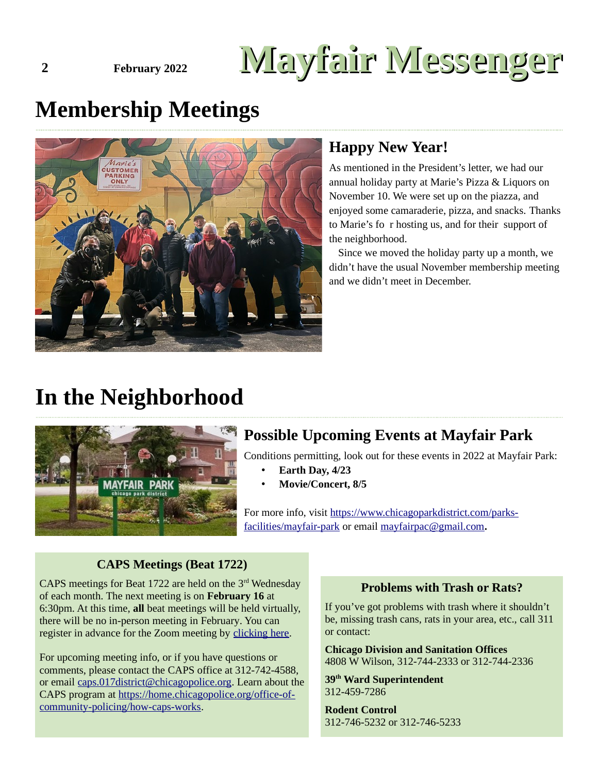# **2 February 2022 Mayfair Messenger**

# <span id="page-1-1"></span>**Membership Meetings**



#### **Happy New Year!**

As mentioned in the President's letter, we had our annual holiday party at Marie's Pizza & Liquors on November 10. We were set up on the piazza, and enjoyed some camaraderie, pizza, and snacks. Thanks to Marie's fo r hosting us, and for their support of the neighborhood.

Since we moved the holiday party up a month, we didn't have the usual November membership meeting and we didn't meet in December.

# <span id="page-1-0"></span>**In the Neighborhood**



## **Possible Upcoming Events at Mayfair Park**

Conditions permitting, look out for these events in 2022 at Mayfair Park:

- **Earth Day, 4/23**
- **Movie/Concert, 8/5**

For more info, visit [https://www.chicagoparkdistrict.com/parks](https://www.chicagoparkdistrict.com/parks-facilities/mayfair-park)[facilities/mayfair-park](https://www.chicagoparkdistrict.com/parks-facilities/mayfair-park) or email [mayfairpac@gmail.com](mailto:mayfairpac@gmail.com)**.**

#### **CAPS Meetings (Beat 1722)**

CAPS meetings for Beat 1722 are held on the  $3<sup>rd</sup>$  Wednesday of each month. The next meeting is on **February 16** at 6:30pm. At this time, **all** beat meetings will be held virtually, there will be no in-person meeting in February. You can register in advance for the Zoom meeting by [clicking here](https://us02web.zoom.us/webinar/register/WN_CPELBuikSaiHGgwgUJnw4g).

For upcoming meeting info, or if you have questions or comments, please contact the CAPS office at 312-742-4588, or email [caps.017district@chicagopolice.org](mailto:caps.017district@chicagopolice.org). Learn about the CAPS program at [https://home.chicagopolice.org/office-of](https://home.chicagopolice.org/office-of-community-policing/how-caps-works)[community-policing/how-caps-works](https://home.chicagopolice.org/office-of-community-policing/how-caps-works).

#### **Problems with Trash or Rats?**

If you've got problems with trash where it shouldn't be, missing trash cans, rats in your area, etc., call 311 or contact:

**Chicago Division and Sanitation Offices** 4808 W Wilson, 312-744-2333 or 312-744-2336

**39th Ward Superintendent** 312-459-7286

**Rodent Control** 312-746-5232 or 312-746-5233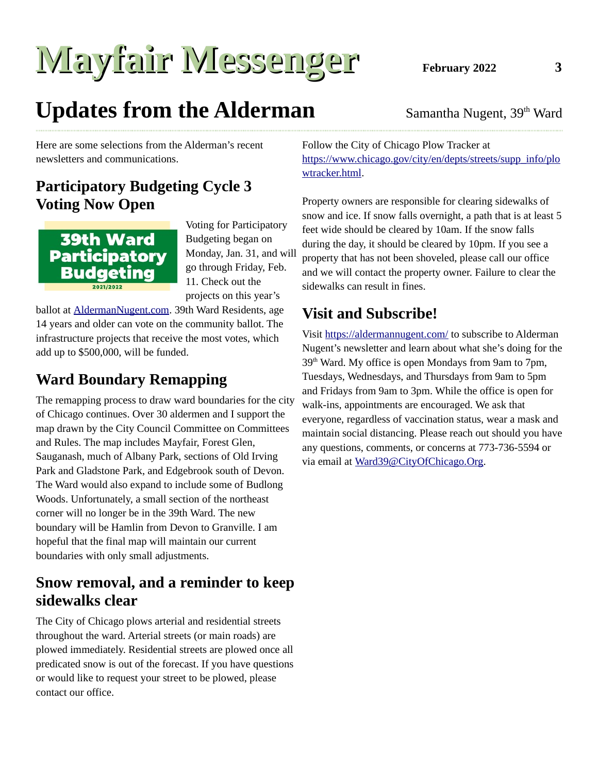# **Mayfair Messenger** February 2022 3

# <span id="page-2-0"></span>**Updates from the Alderman** Samantha Nugent, 39<sup>th</sup> Ward

Here are some selections from the Alderman's recent newsletters and communications.

## **Participatory Budgeting Cycle 3 Voting Now Open**



Voting for Participatory Budgeting began on Monday, Jan. 31, and will go through Friday, Feb. 11. Check out the projects on this year's

ballot at **AldermanNugent.com**. 39th Ward Residents, age 14 years and older can vote on the community ballot. The infrastructure projects that receive the most votes, which add up to \$500,000, will be funded.

## **Ward Boundary Remapping**

The remapping process to draw ward boundaries for the city of Chicago continues. Over 30 aldermen and I support the map drawn by the City Council Committee on Committees and Rules. The map includes Mayfair, Forest Glen, Sauganash, much of Albany Park, sections of Old Irving Park and Gladstone Park, and Edgebrook south of Devon. The Ward would also expand to include some of Budlong Woods. Unfortunately, a small section of the northeast corner will no longer be in the 39th Ward. The new boundary will be Hamlin from Devon to Granville. I am hopeful that the final map will maintain our current boundaries with only small adjustments.

### **Snow removal, and a reminder to keep sidewalks clear**

The City of Chicago plows arterial and residential streets throughout the ward. Arterial streets (or main roads) are plowed immediately. Residential streets are plowed once all predicated snow is out of the forecast. If you have questions or would like to request your street to be plowed, please contact our office.

Follow the City of Chicago Plow Tracker at [https://www.chicago.gov/city/en/depts/streets/supp\\_info/plo](https://www.chicago.gov/city/en/depts/streets/supp_info/plowtracker.html) [wtracker.html](https://www.chicago.gov/city/en/depts/streets/supp_info/plowtracker.html).

Property owners are responsible for clearing sidewalks of snow and ice. If snow falls overnight, a path that is at least 5 feet wide should be cleared by 10am. If the snow falls during the day, it should be cleared by 10pm. If you see a property that has not been shoveled, please call our office and we will contact the property owner. Failure to clear the sidewalks can result in fines.

## **Visit and Subscribe!**

Visit <https://aldermannugent.com/> to subscribe to Alderman Nugent's newsletter and learn about what she's doing for the 39<sup>th</sup> Ward. My office is open Mondays from 9am to 7pm, Tuesdays, Wednesdays, and Thursdays from 9am to 5pm and Fridays from 9am to 3pm. While the office is open for walk-ins, appointments are encouraged. We ask that everyone, regardless of vaccination status, wear a mask and maintain social distancing. Please reach out should you have any questions, comments, or concerns at 773-736-5594 or via email at [Ward39@CityOfChicago.Org](mailto:Ward39@CityOfChicago.Org).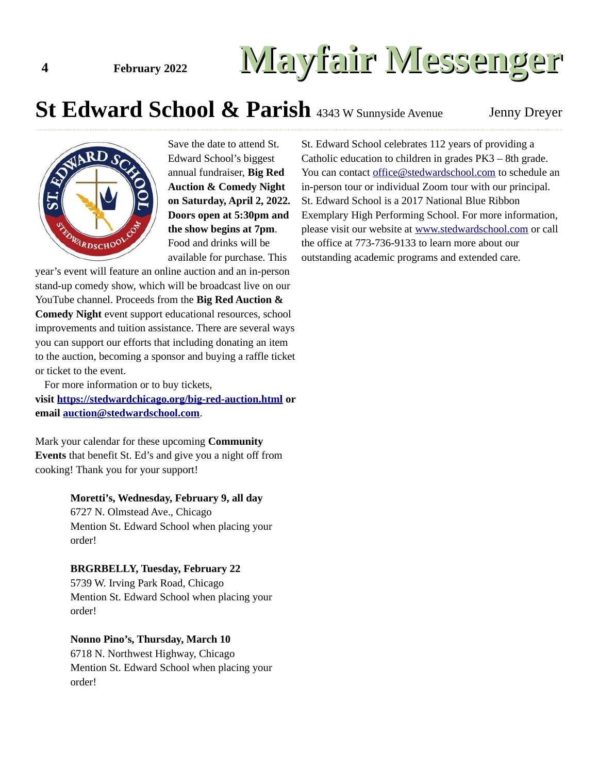# **4 February 2022 Mayfair Messenger**

# <span id="page-3-0"></span>**St Edward School & Parish** 4343 W Sunnyside Avenue Jenny Dreyer



Save the date to attend St. Edward School's biggest annual fundraiser, **Big Red Auction & Comedy Night on Saturday, April 2, 2022. Doors open at 5:30pm and the show begins at 7pm**. Food and drinks will be available for purchase. This

year's event will feature an online auction and an in-person stand-up comedy show, which will be broadcast live on our YouTube channel. Proceeds from the **Big Red Auction & Comedy Night** event support educational resources, school improvements and tuition assistance. There are several ways you can support our efforts that including donating an item to the auction, becoming a sponsor and buying a raffle ticket or ticket to the event.

For more information or to buy tickets, **visit<https://stedwardchicago.org/big-red-auction.html>or email [auction@stedwardschool.com](mailto:auction@stedwardschool.com)**.

Mark your calendar for these upcoming **Community Events** that benefit St. Ed's and give you a night off from cooking! Thank you for your support!

#### **Moretti's, Wednesday, February 9, all day**

6727 N. Olmstead Ave., Chicago Mention St. Edward School when placing your order!

#### **BRGRBELLY, Tuesday, February 22**

5739 W. Irving Park Road, Chicago Mention St. Edward School when placing your order!

#### **Nonno Pino's, Thursday, March 10**

6718 N. Northwest Highway, Chicago Mention St. Edward School when placing your order!

St. Edward School celebrates 112 years of providing a Catholic education to children in grades PK3 – 8th grade. You can contact [office@stedwardschool.com](mailto:office@stedwardschool.com) to schedule an in-person tour or individual Zoom tour with our principal. St. Edward School is a 2017 National Blue Ribbon Exemplary High Performing School. For more information, please visit our website at [www.stedwardschool.com](http://www.stedwardschool.com/) or call the office at 773-736-9133 to learn more about our outstanding academic programs and extended care.